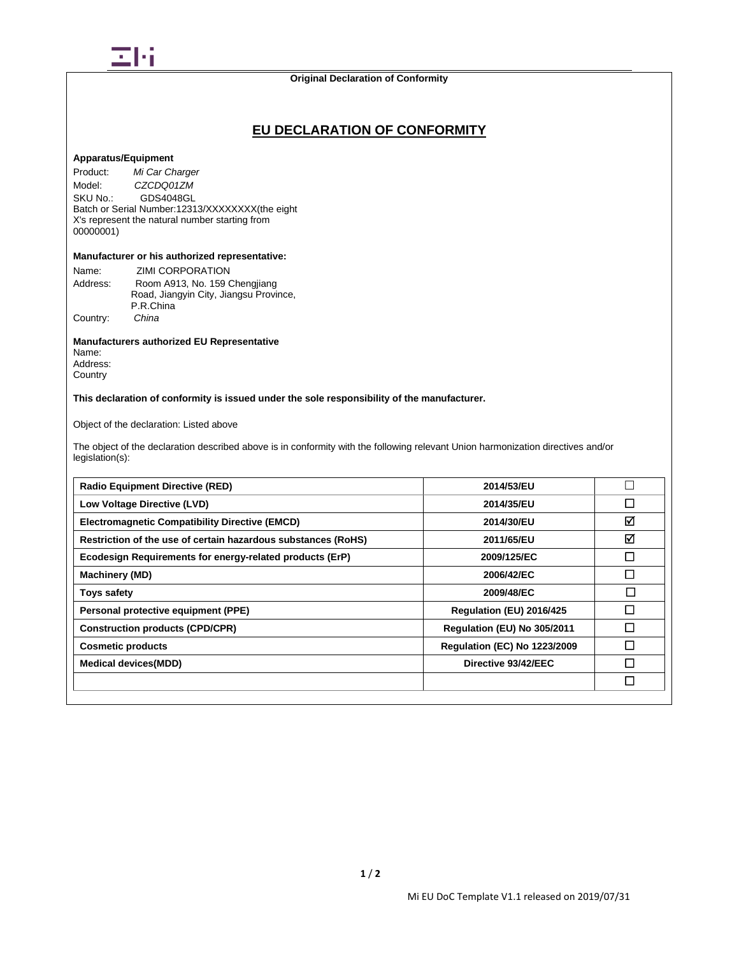

## **Original Declaration of Conformity**

## **EU DECLARATION OF CONFORMITY**

## **Apparatus/Equipment**

Product: *Mi Car Charger* Model: *CZCDQ01ZM*<br>SKU No.: GDS4048GL GDS4048GL Batch or Serial Number:12313/XXXXXXXX(the eight X's represent the natural number starting from 00000001)

### **Manufacturer or his authorized representative:**

| Name:    | ZIMI CORPORATION                       |
|----------|----------------------------------------|
| Address: | Room A913, No. 159 Chengjiang          |
|          | Road, Jiangyin City, Jiangsu Province, |
|          | P.R.China                              |
| Country: | China                                  |

## **Manufacturers authorized EU Representative**

Name: Address: **Country** 

**This declaration of conformity is issued under the sole responsibility of the manufacturer.**

Object of the declaration: Listed above

The object of the declaration described above is in conformity with the following relevant Union harmonization directives and/or legislation(s):

| <b>Radio Equipment Directive (RED)</b>                        | 2014/53/EU                          |              |
|---------------------------------------------------------------|-------------------------------------|--------------|
| Low Voltage Directive (LVD)                                   | 2014/35/EU                          | $\Box$       |
| <b>Electromagnetic Compatibility Directive (EMCD)</b>         | 2014/30/EU                          | ☑            |
| Restriction of the use of certain hazardous substances (RoHS) | 2011/65/EU                          | ☑            |
| Ecodesign Requirements for energy-related products (ErP)      | 2009/125/EC                         | $\mathsf{L}$ |
| <b>Machinery (MD)</b>                                         | 2006/42/EC                          | П            |
| <b>Toys safety</b>                                            | 2009/48/EC                          | $\Box$       |
| Personal protective equipment (PPE)                           | Regulation (EU) 2016/425            | П            |
| <b>Construction products (CPD/CPR)</b>                        | Regulation (EU) No 305/2011         | П            |
| <b>Cosmetic products</b>                                      | <b>Regulation (EC) No 1223/2009</b> | П            |
| <b>Medical devices (MDD)</b>                                  | Directive 93/42/EEC                 | Π            |
|                                                               |                                     | $\Box$       |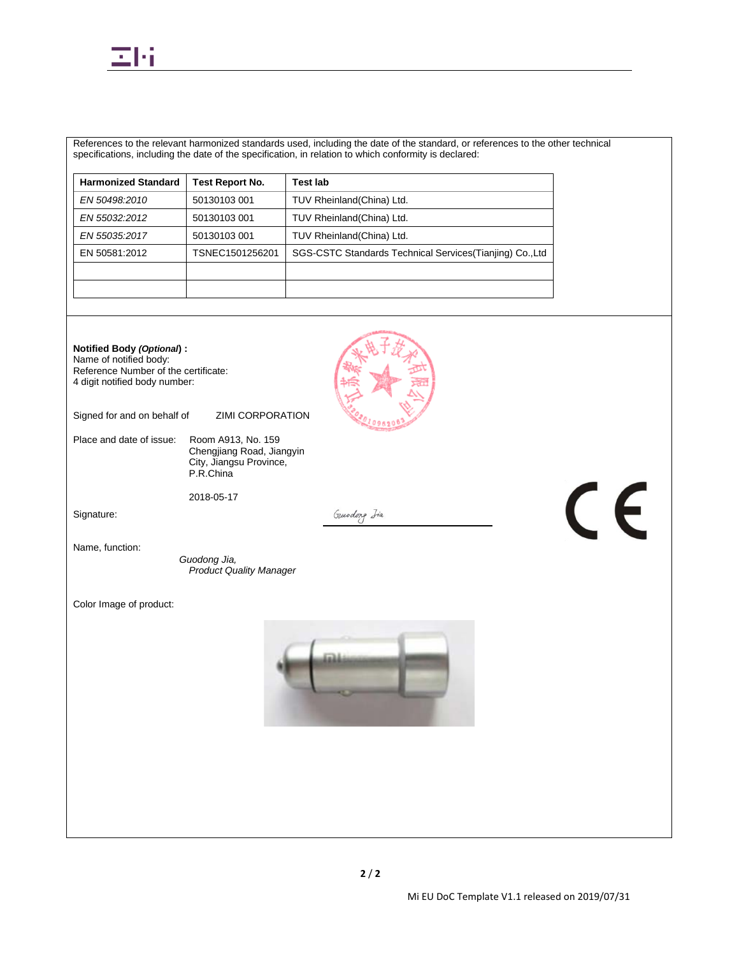

References to the relevant harmonized standards used, including the date of the standard, or references to the other technical specifications, including the date of the specification, in relation to which conformity is declared:

| <b>Harmonized Standard</b> | <b>Test Report No.</b> | <b>Test lab</b>                                           |
|----------------------------|------------------------|-----------------------------------------------------------|
| EN 50498:2010              | 50130103 001           | TUV Rheinland (China) Ltd.                                |
| EN 55032:2012              | 50130103 001           | TUV Rheinland(China) Ltd.                                 |
| EN 55035:2017              | 50130103 001           | TUV Rheinland (China) Ltd.                                |
| EN 50581:2012              | TSNEC1501256201        | SGS-CSTC Standards Technical Services (Tianjing) Co., Ltd |
|                            |                        |                                                           |
|                            |                        |                                                           |



Name of notified body: Reference Number of the certificate: 4 digit notified body number:

Signed for and on behalf of ZIMI CORPORATION

Place and date of issue: Room A913, No. 159 Chengjiang Road, Jiangyin City, Jiangsu Province, P.R.China

2018-05-17

Signature:

Gundong Iia

Name, function:

*Guodong Jia, Product Quality Manager*

Color Image of product:



 $C \in$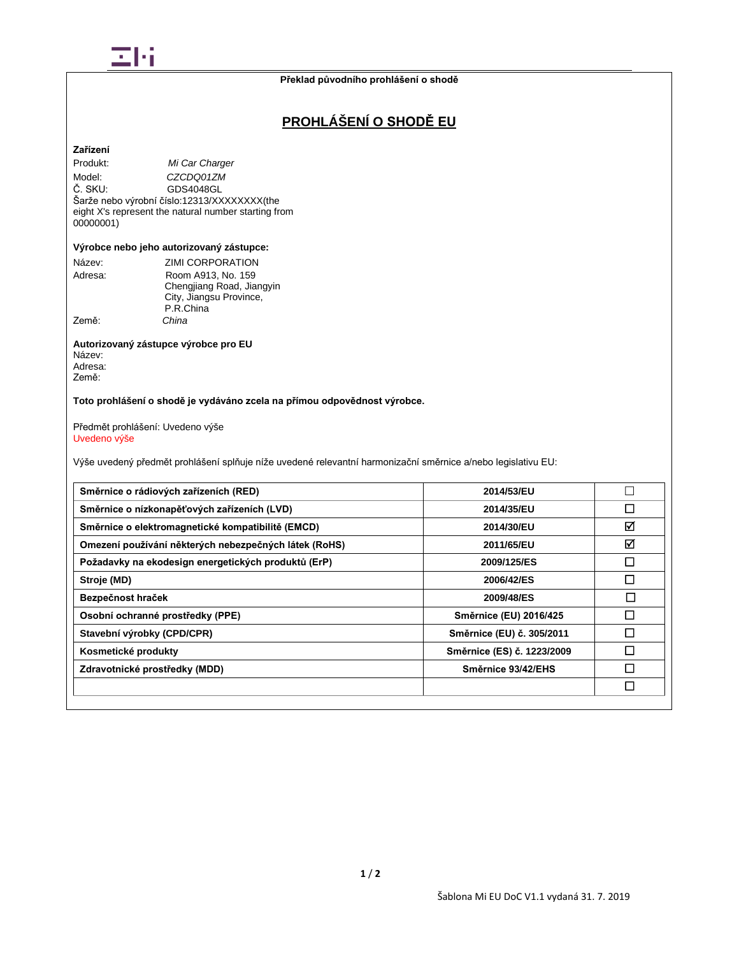

# **PROHLÁŠENÍ O SHODĚ EU**

## **Zařízení**

Produkt: *Mi Car Charger* Model: *CZCDQ01ZM*<br>Č. SKU: GDS4048GL GDS4048GL Šarže nebo výrobní číslo:12313/XXXXXXXX(the eight X's represent the natural number starting from 00000001)

### **Výrobce nebo jeho autorizovaný zástupce:**

| Název:  | <b>ZIMI CORPORATION</b>   |
|---------|---------------------------|
| Adresa: | Room A913, No. 159        |
|         | Chengjiang Road, Jiangyin |
|         | City, Jiangsu Province,   |
|         | P.R.China                 |
| Země:   | China                     |

#### **Autorizovaný zástupce výrobce pro EU** Název: Adresa: Země:

**Toto prohlášení o shodě je vydáváno zcela na přímou odpovědnost výrobce.**

Předmět prohlášení: Uvedeno výše Uvedeno výše

Výše uvedený předmět prohlášení splňuje níže uvedené relevantní harmonizační směrnice a/nebo legislativu EU:

| Směrnice o rádiových zařízeních (RED)                 | 2014/53/EU                 |   |
|-------------------------------------------------------|----------------------------|---|
| Směrnice o nízkonapěťových zařízeních (LVD)           | 2014/35/EU                 | П |
| Směrnice o elektromagnetické kompatibilitě (EMCD)     | 2014/30/EU                 | ☑ |
| Omezení používání některých nebezpečných látek (RoHS) | 2011/65/EU                 | ☑ |
| Požadavky na ekodesign energetických produktů (ErP)   | 2009/125/ES                |   |
| Stroje (MD)                                           | 2006/42/ES                 |   |
| Bezpečnost hraček                                     | 2009/48/ES                 | П |
| Osobní ochranné prostředky (PPE)                      | Směrnice (EU) 2016/425     |   |
| Stavební výrobky (CPD/CPR)                            | Směrnice (EU) č. 305/2011  |   |
| Kosmetické produkty                                   | Směrnice (ES) č. 1223/2009 | П |
| Zdravotnické prostředky (MDD)                         | Směrnice 93/42/EHS         |   |
|                                                       |                            |   |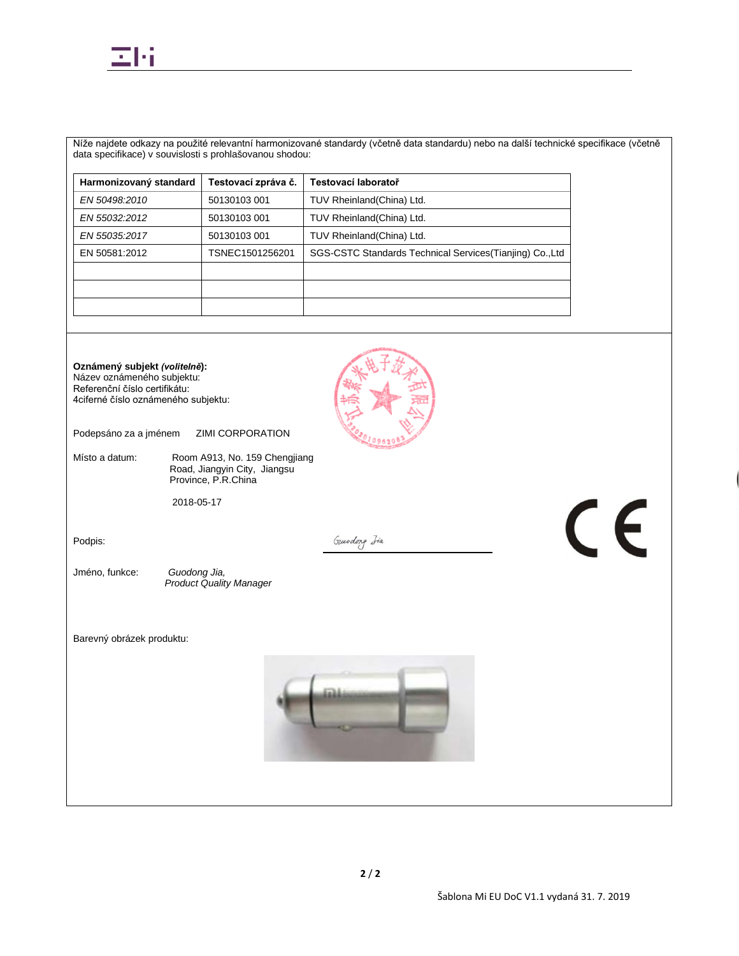

Níže najdete odkazy na použité relevantní harmonizované standardy (včetně data standardu) nebo na další technické specifikace (včetně data specifikace) v souvislosti s prohlašovanou shodou:

| Testovací zpráva č. | Testovací laboratoř                                       |
|---------------------|-----------------------------------------------------------|
| 50130103 001        | TUV Rheinland(China) Ltd.                                 |
| 50130103 001        | TUV Rheinland(China) Ltd.                                 |
| 50130103 001        | TUV Rheinland(China) Ltd.                                 |
| TSNEC1501256201     | SGS-CSTC Standards Technical Services (Tianjing) Co., Ltd |
|                     |                                                           |
|                     |                                                           |
|                     |                                                           |
|                     |                                                           |

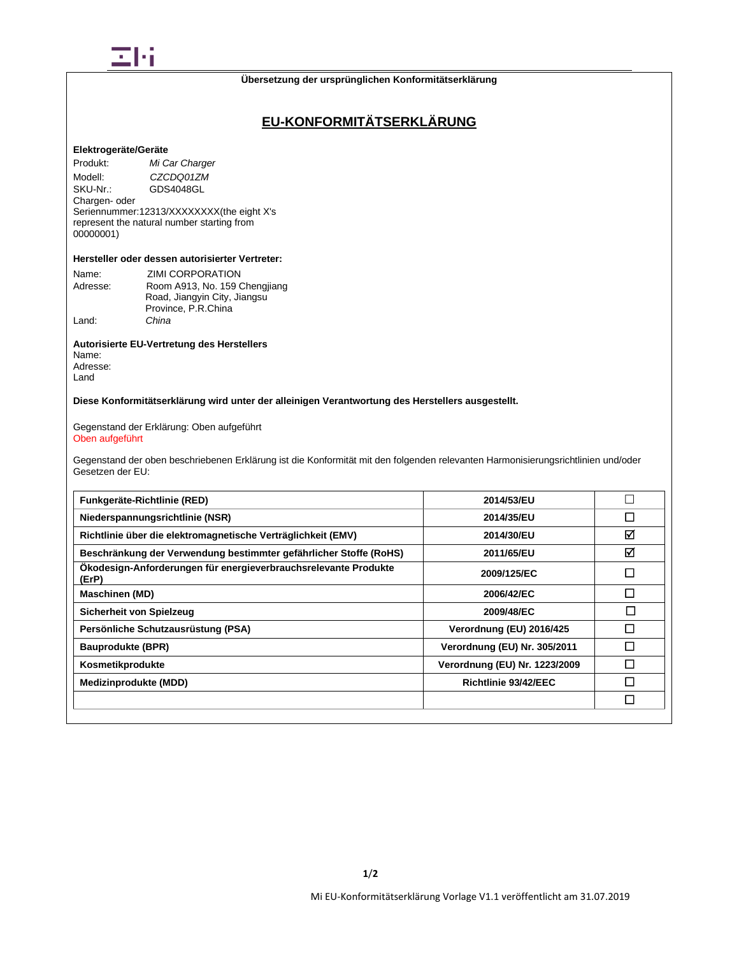

# **EU-KONFORMITÄTSERKLÄRUNG**

### **Elektrogeräte/Geräte**

Produkt: *Mi Car Charger* Modell: *CZCDQ01ZM*<br>SKU-Nr.: GDS4048GL GDS4048GL Chargen- oder Seriennummer:12313/XXXXXXXX(the eight X's represent the natural number starting from 00000001)

## **Hersteller oder dessen autorisierter Vertreter:**

| Name:    | <b>ZIMI CORPORATION</b>       |
|----------|-------------------------------|
| Adresse: | Room A913, No. 159 Chengjiang |
|          | Road, Jiangyin City, Jiangsu  |
|          | Province, P.R.China           |
| Land:    | China                         |

## **Autorisierte EU-Vertretung des Herstellers**

Name: Adresse: Land

**Diese Konformitätserklärung wird unter der alleinigen Verantwortung des Herstellers ausgestellt.**

Gegenstand der Erklärung: Oben aufgeführt Oben aufgeführt

Gegenstand der oben beschriebenen Erklärung ist die Konformität mit den folgenden relevanten Harmonisierungsrichtlinien und/oder Gesetzen der EU:

| Funkgeräte-Richtlinie (RED)                                              | 2014/53/EU                    |              |
|--------------------------------------------------------------------------|-------------------------------|--------------|
| Niederspannungsrichtlinie (NSR)                                          | 2014/35/EU                    | П            |
| Richtlinie über die elektromagnetische Verträglichkeit (EMV)             | 2014/30/EU                    | ☑            |
| Beschränkung der Verwendung bestimmter gefährlicher Stoffe (RoHS)        | 2011/65/EU                    | ☑            |
| Ökodesign-Anforderungen für energieverbrauchsrelevante Produkte<br>(ErP) | 2009/125/EC                   | $\mathsf{L}$ |
| <b>Maschinen (MD)</b>                                                    | 2006/42/EC                    | П            |
| Sicherheit von Spielzeug                                                 | 2009/48/EC                    | П            |
| Persönliche Schutzausrüstung (PSA)                                       | Verordnung (EU) 2016/425      | П            |
| <b>Bauprodukte (BPR)</b>                                                 | Verordnung (EU) Nr. 305/2011  | $\mathsf{L}$ |
| Kosmetikprodukte                                                         | Verordnung (EU) Nr. 1223/2009 |              |
| Medizinprodukte (MDD)                                                    | Richtlinie 93/42/EEC          |              |
|                                                                          |                               | П            |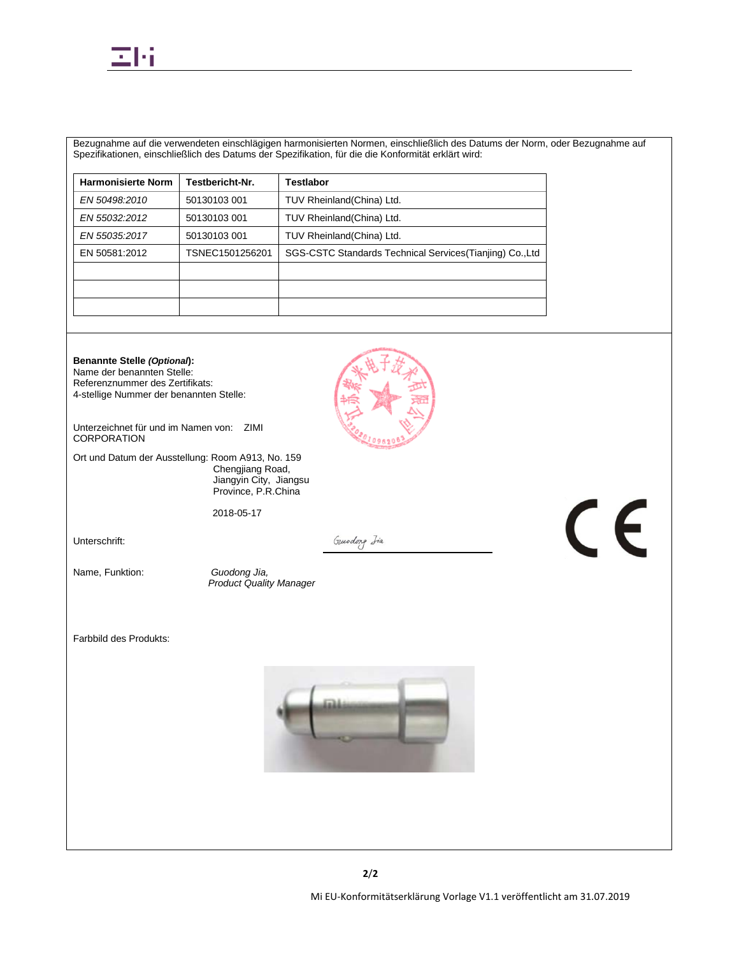

Bezugnahme auf die verwendeten einschlägigen harmonisierten Normen, einschließlich des Datums der Norm, oder Bezugnahme auf Spezifikationen, einschließlich des Datums der Spezifikation, für die die Konformität erklärt wird:

| <b>Harmonisierte Norm</b> | Testbericht-Nr. | <b>Testlabor</b>                                          |
|---------------------------|-----------------|-----------------------------------------------------------|
| EN 50498.2010             | 50130103 001    | TUV Rheinland(China) Ltd.                                 |
| EN 55032:2012             | 50130103 001    | TUV Rheinland(China) Ltd.                                 |
| EN 55035:2017             | 50130103 001    | TUV Rheinland(China) Ltd.                                 |
| EN 50581:2012             | TSNEC1501256201 | SGS-CSTC Standards Technical Services (Tianjing) Co., Ltd |
|                           |                 |                                                           |
|                           |                 |                                                           |
|                           |                 |                                                           |

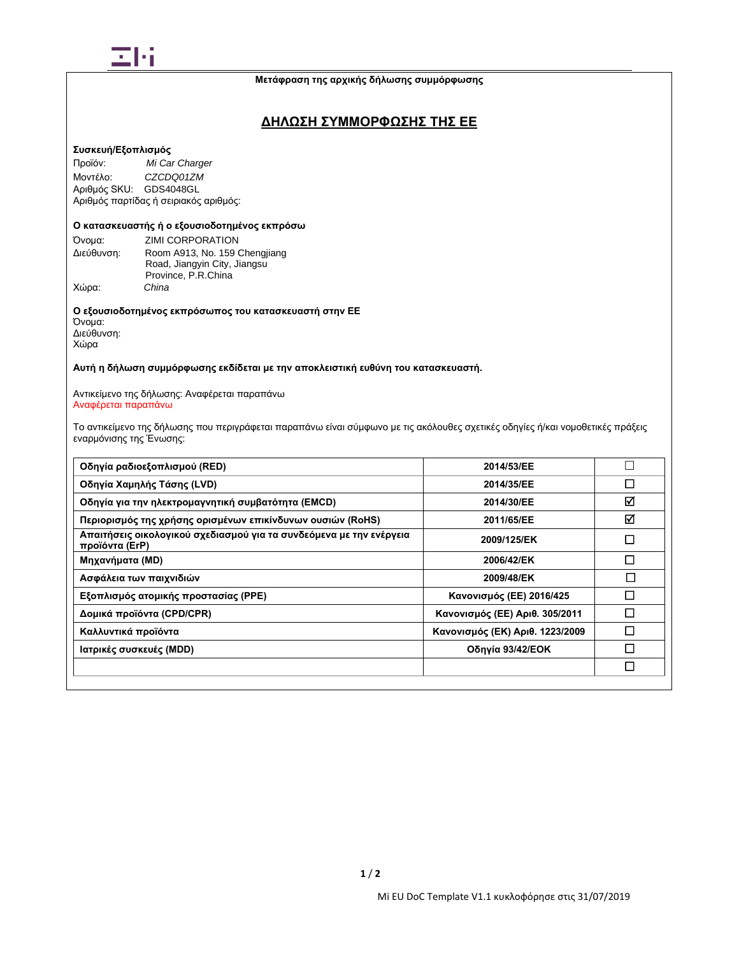

## **ΔΗΛΩΣΗ ΣΥΜΜΟΡΦΩΣΗΣ ΤΗΣ ΕΕ**

## **Συσκευή/Εξοπλισμός**

Προϊόν: *Mi Car Charger* Μοντέλο: *CZCDQ01ZM* Αριθμός SKU: GDS4048GL Αριθμός παρτίδας ή σειριακός αριθμός:

## Ο κατασκευαστής ή ο εξουσιοδοτημένος εκπρόσω

Όνομα: ZIMI CORPORATION<br>Διεύθυνση: Room A913, No. 159 ( Room A913, No. 159 Chengjiang Road, Jiangyin City, Jiangsu Province, P.R.China<br>China Χώρα: *China*

**Ο εξουσιοδοτημένος εκπρόσωπος του κατασκευαστή στην ΕΕ** Όνομα: Διεύθυνση: Χώρα

**Αυτή η δήλωση συμμόρφωσης εκδίδεται με την αποκλειστική ευθύνη του κατασκευαστή.**

Αντικείμενο της δήλωσης: Αναφέρεται παραπάνω Αναφέρεται παραπάνω

Το αντικείμενο της δήλωσης που περιγράφεται παραπάνω είναι σύμφωνο με τις ακόλουθες σχετικές οδηγίες ή/και νομοθετικές πράξεις εναρμόνισης της Ένωσης:

| Οδηγία ραδιοεξοπλισμού (RED)                                                          | 2014/53/EE                      |        |
|---------------------------------------------------------------------------------------|---------------------------------|--------|
| Οδηγία Χαμηλής Τάσης (LVD)                                                            | 2014/35/EE                      | $\Box$ |
| Οδηγία για την ηλεκτρομαγνητική συμβατότητα (EMCD)                                    | 2014/30/EE                      | ☑      |
| Περιορισμός της χρήσης ορισμένων επικίνδυνων ουσιών (RoHS)                            | 2011/65/EE                      | ☑      |
| Απαιτήσεις οικολογικού σχεδιασμού για τα συνδεόμενα με την ενέργεια<br>προϊόντα (ErP) | 2009/125/EK                     | $\Box$ |
| Μηχανήματα (MD)                                                                       | 2006/42/EK                      | П      |
| Ασφάλεια των παιχνιδιών                                                               | 2009/48/EK                      | □      |
| Εξοπλισμός ατομικής προστασίας (PPE)                                                  | Κανονισμός (ΕΕ) 2016/425        | П      |
| Δομικά προϊόντα (CPD/CPR)                                                             | Κανονισμός (ΕΕ) Αριθ. 305/2011  | Π      |
| Καλλυντικά προϊόντα                                                                   | Κανονισμός (ΕΚ) Αριθ. 1223/2009 | Π      |
| Ιατρικές συσκευές (MDD)                                                               | Οδηγία 93/42/ΕΟΚ                |        |
|                                                                                       |                                 | П      |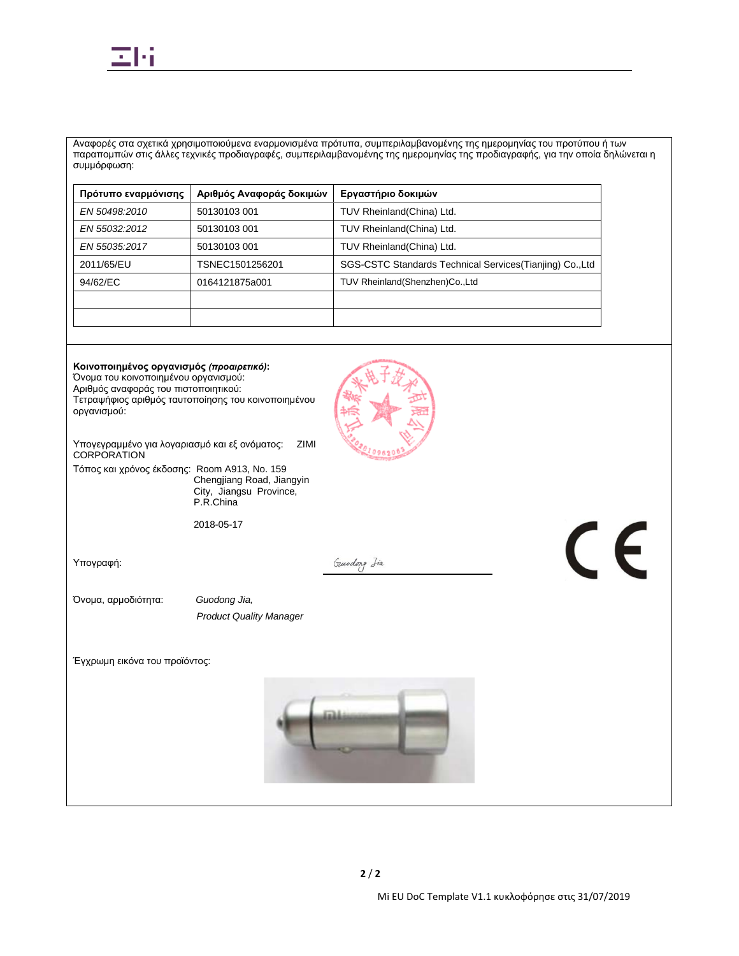

Αναφορές στα σχετικά χρησιμοποιούμενα εναρμονισμένα πρότυπα, συμπεριλαμβανομένης της ημερομηνίας του προτύπου ή των παραπομπών στις άλλες τεχνικές προδιαγραφές, συμπεριλαμβανομένης της ημερομηνίας της προδιαγραφής, για την οποία δηλώνεται η συμμόρφωση:

| Πρότυπο εναρμόνισης | Αριθμός Αναφοράς δοκιμών | Εργαστήριο δοκιμών                                        |
|---------------------|--------------------------|-----------------------------------------------------------|
| EN 50498:2010       | 50130103 001             | TUV Rheinland(China) Ltd.                                 |
| EN 55032:2012       | 50130103 001             | TUV Rheinland(China) Ltd.                                 |
| EN 55035:2017       | 50130103 001             | TUV Rheinland(China) Ltd.                                 |
| 2011/65/EU          | TSNEC1501256201          | SGS-CSTC Standards Technical Services (Tianjing) Co., Ltd |
| 94/62/EC            | 0164121875a001           | TUV Rheinland (Shenzhen) Co., Ltd                         |
|                     |                          |                                                           |
|                     |                          |                                                           |

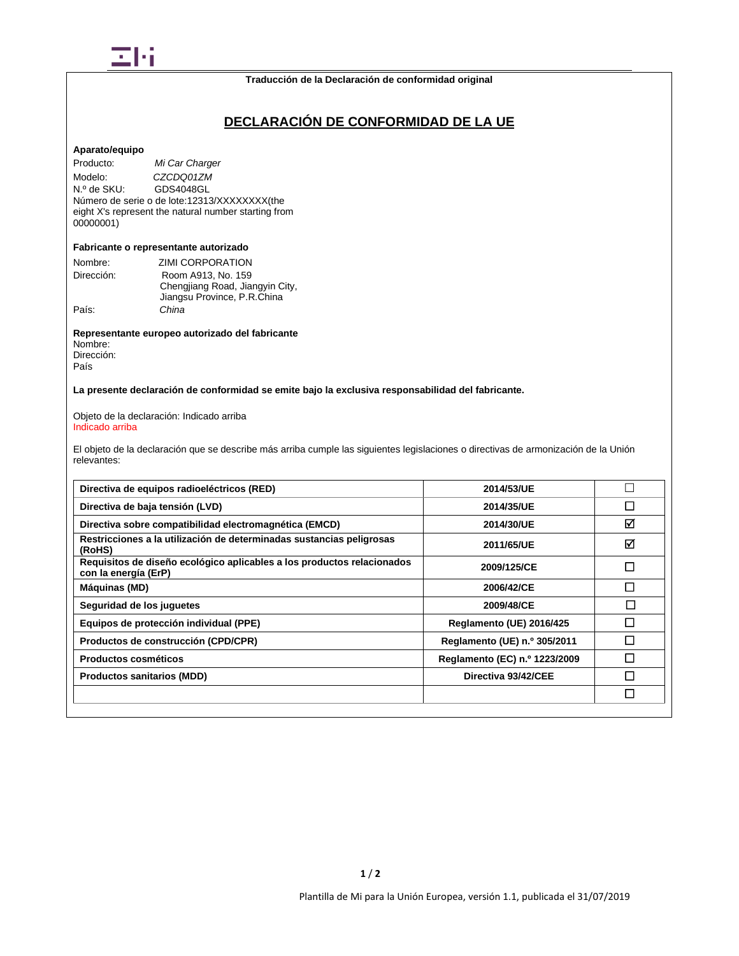

# **DECLARACIÓN DE CONFORMIDAD DE LA UE**

#### **Aparato/equipo**

Producto: *Mi Car Charger* Modelo: *CZCDQ01ZM*<br>
N.º de SKU: GDS4048GL GDS4048GL Número de serie o de lote:12313/XXXXXXXX(the eight X's represent the natural number starting from 00000001)

#### **Fabricante o representante autorizado**

| Nombre:    | ZIMI CORPORATION                |
|------------|---------------------------------|
| Dirección: | Room A913, No. 159              |
|            | Chengjiang Road, Jiangyin City, |
|            | Jiangsu Province, P.R.China     |
| País:      | China                           |

**Representante europeo autorizado del fabricante** Nombre: Dirección: País

**La presente declaración de conformidad se emite bajo la exclusiva responsabilidad del fabricante.**

Objeto de la declaración: Indicado arriba Indicado arriba

El objeto de la declaración que se describe más arriba cumple las siguientes legislaciones o directivas de armonización de la Unión relevantes:

| Directiva de equipos radioeléctricos (RED)                                                     | 2014/53/UE                    |        |
|------------------------------------------------------------------------------------------------|-------------------------------|--------|
| Directiva de baja tensión (LVD)                                                                | 2014/35/UE                    | П      |
| Directiva sobre compatibilidad electromagnética (EMCD)                                         | 2014/30/UE                    | ☑      |
| Restricciones a la utilización de determinadas sustancias peligrosas<br>(RoHS)                 | 2011/65/UE                    | ☑      |
| Requisitos de diseño ecológico aplicables a los productos relacionados<br>con la energía (ErP) | 2009/125/CE                   | П      |
| Máquinas (MD)                                                                                  | 2006/42/CE                    | П      |
| Seguridad de los juguetes                                                                      | 2009/48/CE                    | $\Box$ |
| Equipos de protección individual (PPE)                                                         | Reglamento (UE) 2016/425      | П      |
| Productos de construcción (CPD/CPR)                                                            | Reglamento (UE) n.º 305/2011  | П      |
| Productos cosméticos                                                                           | Reglamento (EC) n.º 1223/2009 | П      |
| <b>Productos sanitarios (MDD)</b>                                                              | Directiva 93/42/CEE           | П      |
|                                                                                                |                               | П      |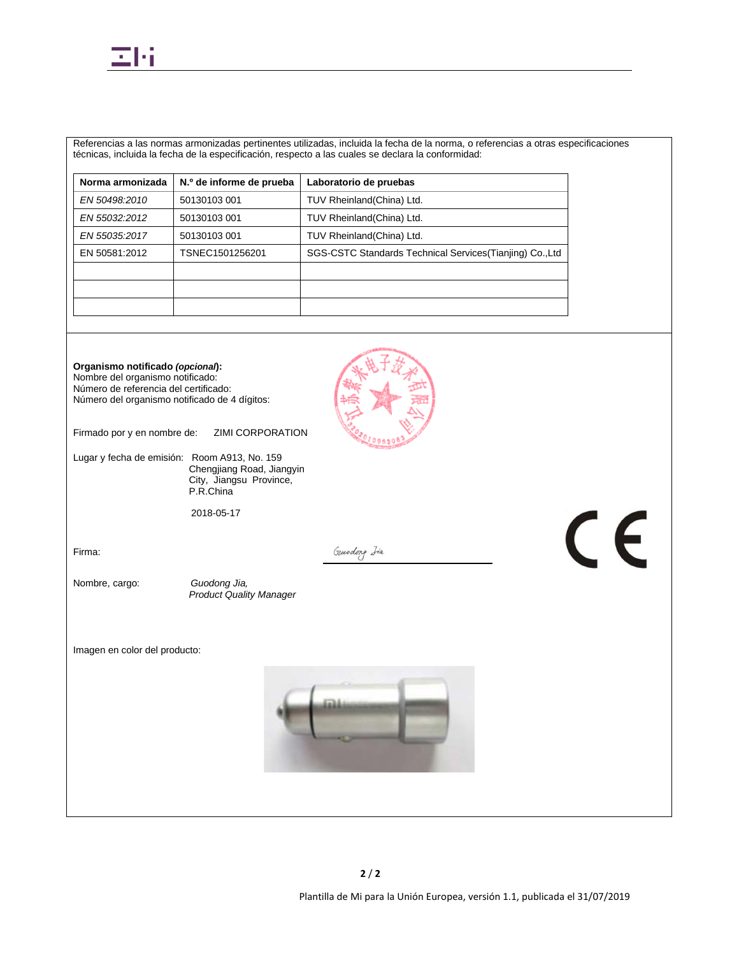

Referencias a las normas armonizadas pertinentes utilizadas, incluida la fecha de la norma, o referencias a otras especificaciones técnicas, incluida la fecha de la especificación, respecto a las cuales se declara la conformidad:

| N.º de informe de prueba | Laboratorio de pruebas                                    |
|--------------------------|-----------------------------------------------------------|
| 50130103 001             | TUV Rheinland(China) Ltd.                                 |
| 50130103 001             | TUV Rheinland(China) Ltd.                                 |
| 50130103 001             | TUV Rheinland(China) Ltd.                                 |
| TSNEC1501256201          | SGS-CSTC Standards Technical Services (Tianjing) Co., Ltd |
|                          |                                                           |
|                          |                                                           |
|                          |                                                           |
|                          |                                                           |

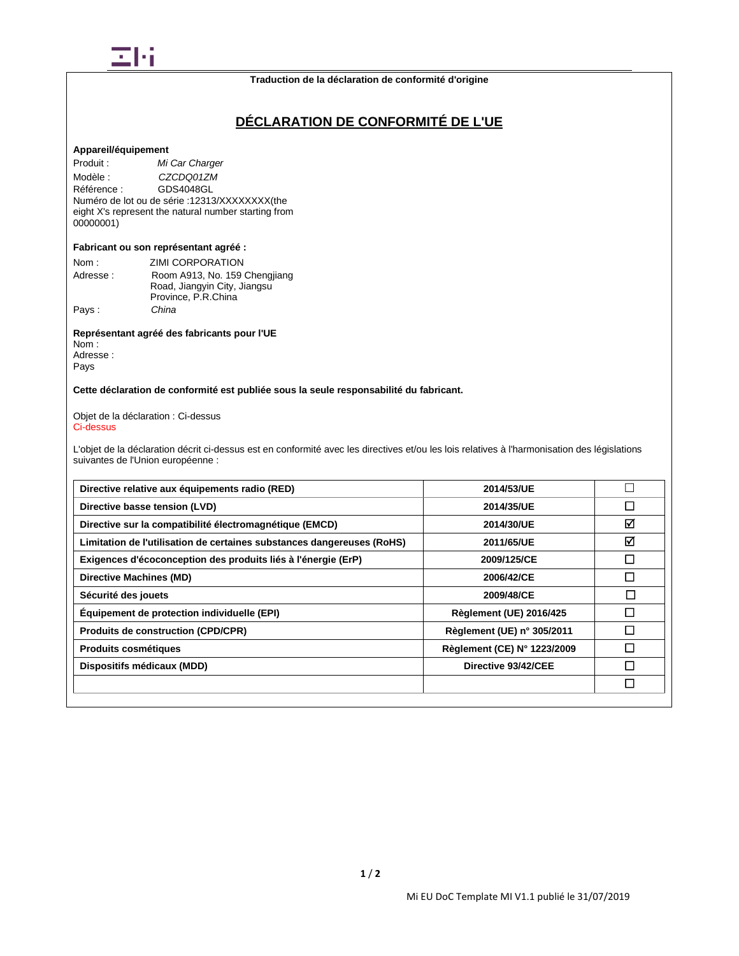

#### **Traduction de la déclaration de conformité d'origine**

# **DÉCLARATION DE CONFORMITÉ DE L'UE**

## **Appareil/équipement**

Produit : *Mi Car Charger* Modèle : *CZCDQ01ZM*<br>Référence : **GDS4048GL** Référence : GDS4048GL Numéro de lot ou de série :12313/XXXXXXXX(the eight X's represent the natural number starting from 00000001)

#### **Fabricant ou son représentant agréé :**

| Nom :    | ZIMI CORPORATION              |
|----------|-------------------------------|
| Adresse: | Room A913, No. 159 Chengjiang |
|          | Road, Jiangyin City, Jiangsu  |
|          | Province, P.R.China           |
| Pays:    | China                         |

#### **Représentant agréé des fabricants pour l'UE** Nom :

Adresse : Pays

## **Cette déclaration de conformité est publiée sous la seule responsabilité du fabricant.**

#### Objet de la déclaration : Ci-dessus Ci-dessus

L'objet de la déclaration décrit ci-dessus est en conformité avec les directives et/ou les lois relatives à l'harmonisation des législations suivantes de l'Union européenne :

| Directive relative aux équipements radio (RED)                         | 2014/53/UE                     |                             |
|------------------------------------------------------------------------|--------------------------------|-----------------------------|
| Directive basse tension (LVD)                                          | 2014/35/UE                     | $\mathcal{L}_{\mathcal{A}}$ |
| Directive sur la compatibilité électromagnétique (EMCD)                | 2014/30/UE                     | ☑                           |
| Limitation de l'utilisation de certaines substances dangereuses (RoHS) | 2011/65/UE                     | ☑                           |
| Exigences d'écoconception des produits liés à l'énergie (ErP)          | 2009/125/CE                    | $\mathbf{I}$                |
| Directive Machines (MD)                                                | 2006/42/CE                     | $\mathbf{I}$                |
| Sécurité des jouets                                                    | 2009/48/CE                     | $\sim$                      |
| Equipement de protection individuelle (EPI)                            | <b>Règlement (UE) 2016/425</b> | П                           |
| <b>Produits de construction (CPD/CPR)</b>                              | Règlement (UE) n° 305/2011     |                             |
| Produits cosmétiques                                                   | Règlement (CE) N° 1223/2009    |                             |
| Dispositifs médicaux (MDD)                                             | Directive 93/42/CEE            | $\mathsf{L}$                |
|                                                                        |                                | $\Box$                      |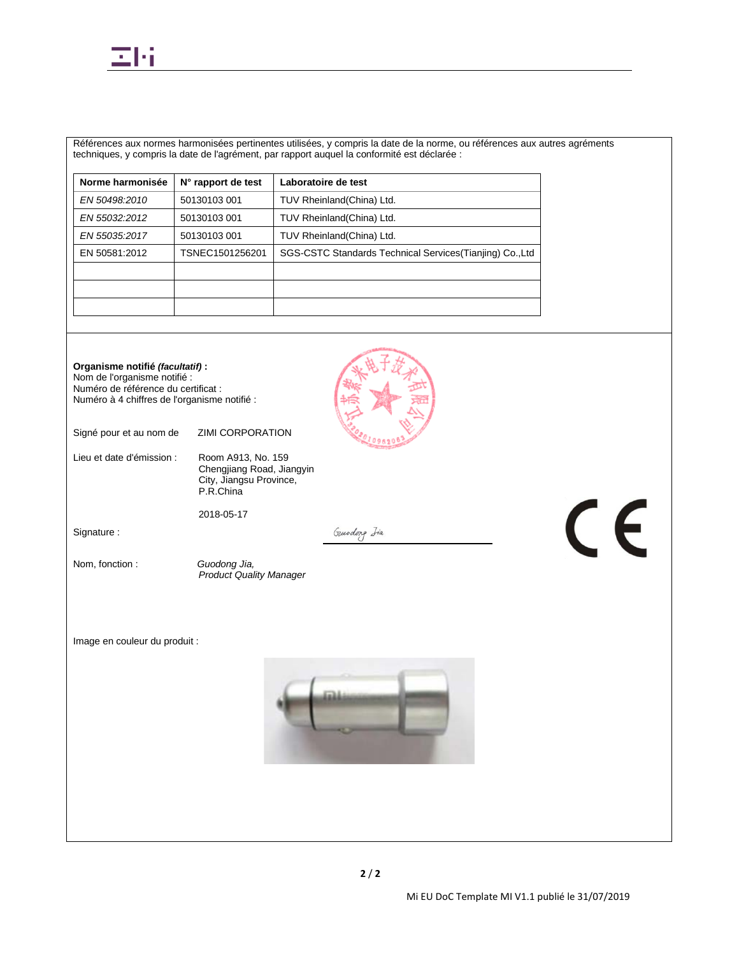

Références aux normes harmonisées pertinentes utilisées, y compris la date de la norme, ou références aux autres agréments techniques, y compris la date de l'agrément, par rapport auquel la conformité est déclarée :

| Norme harmonisée | N° rapport de test | Laboratoire de test                                       |
|------------------|--------------------|-----------------------------------------------------------|
| EN 50498:2010    | 50130103 001       | TUV Rheinland(China) Ltd.                                 |
| EN 55032:2012    | 50130103 001       | TUV Rheinland(China) Ltd.                                 |
| EN 55035:2017    | 50130103 001       | TUV Rheinland (China) Ltd.                                |
| EN 50581:2012    | TSNEC1501256201    | SGS-CSTC Standards Technical Services (Tianjing) Co., Ltd |
|                  |                    |                                                           |
|                  |                    |                                                           |
|                  |                    |                                                           |

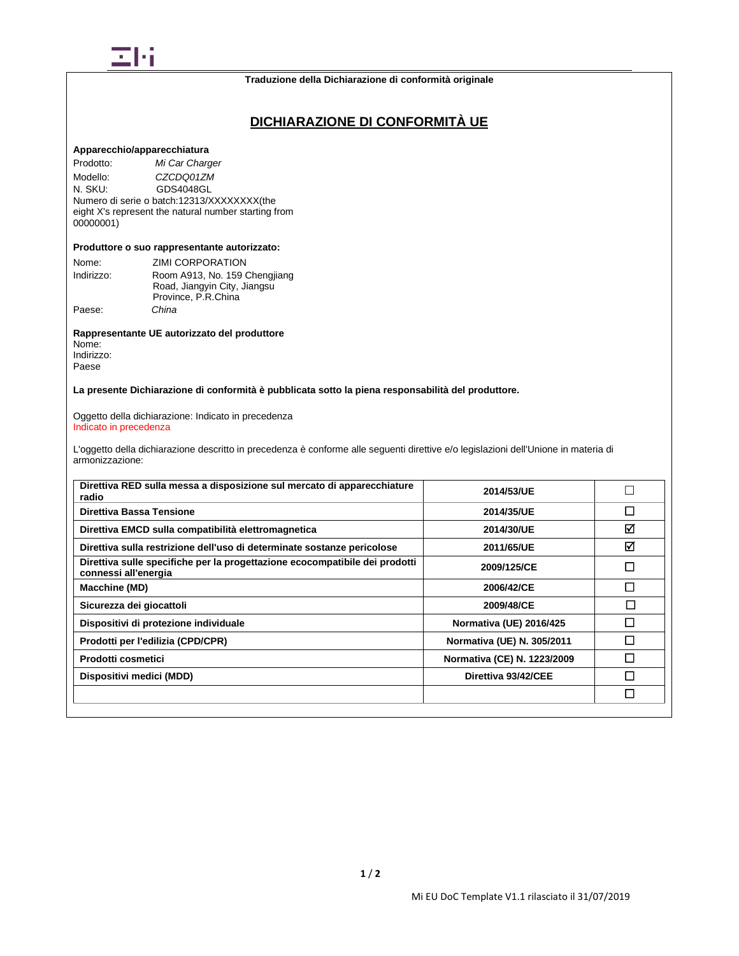

# **DICHIARAZIONE DI CONFORMITÀ UE**

## **Apparecchio/apparecchiatura**

Prodotto: *Mi Car Charger* Modello: *CZCDQ01ZM*<br>
N. SKU: **GDS4048GL** GDS4048GL Numero di serie o batch:12313/XXXXXXXX(the eight X's represent the natural number starting from 00000001)

#### **Produttore o suo rappresentante autorizzato:**

| Nome:      | ZIMI CORPORATION              |
|------------|-------------------------------|
| Indirizzo: | Room A913, No. 159 Chengjiang |
|            | Road, Jiangyin City, Jiangsu  |
|            | Province, P.R.China           |
| Paese:     | China                         |

**Rappresentante UE autorizzato del produttore** Nome: Indirizzo:

Paese

**La presente Dichiarazione di conformità è pubblicata sotto la piena responsabilità del produttore.**

Oggetto della dichiarazione: Indicato in precedenza Indicato in precedenza

L'oggetto della dichiarazione descritto in precedenza è conforme alle seguenti direttive e/o legislazioni dell'Unione in materia di armonizzazione:

| Direttiva RED sulla messa a disposizione sul mercato di apparecchiature<br>radio                    | 2014/53/UE                     |   |
|-----------------------------------------------------------------------------------------------------|--------------------------------|---|
| Direttiva Bassa Tensione                                                                            | 2014/35/UE                     | П |
| Direttiva EMCD sulla compatibilità elettromagnetica                                                 | 2014/30/UE                     | ⊠ |
| Direttiva sulla restrizione dell'uso di determinate sostanze pericolose                             | 2011/65/UE                     | ☑ |
| Direttiva sulle specifiche per la progettazione ecocompatibile dei prodotti<br>connessi all'energia | 2009/125/CE                    | П |
| Macchine (MD)                                                                                       | 2006/42/CE                     | П |
| Sicurezza dei giocattoli                                                                            | 2009/48/CE                     | П |
| Dispositivi di protezione individuale                                                               | <b>Normativa (UE) 2016/425</b> | П |
| Prodotti per l'edilizia (CPD/CPR)                                                                   | Normativa (UE) N. 305/2011     | П |
| Prodotti cosmetici                                                                                  | Normativa (CE) N. 1223/2009    | П |
| Dispositivi medici (MDD)                                                                            | Direttiva 93/42/CEE            | П |
|                                                                                                     |                                | П |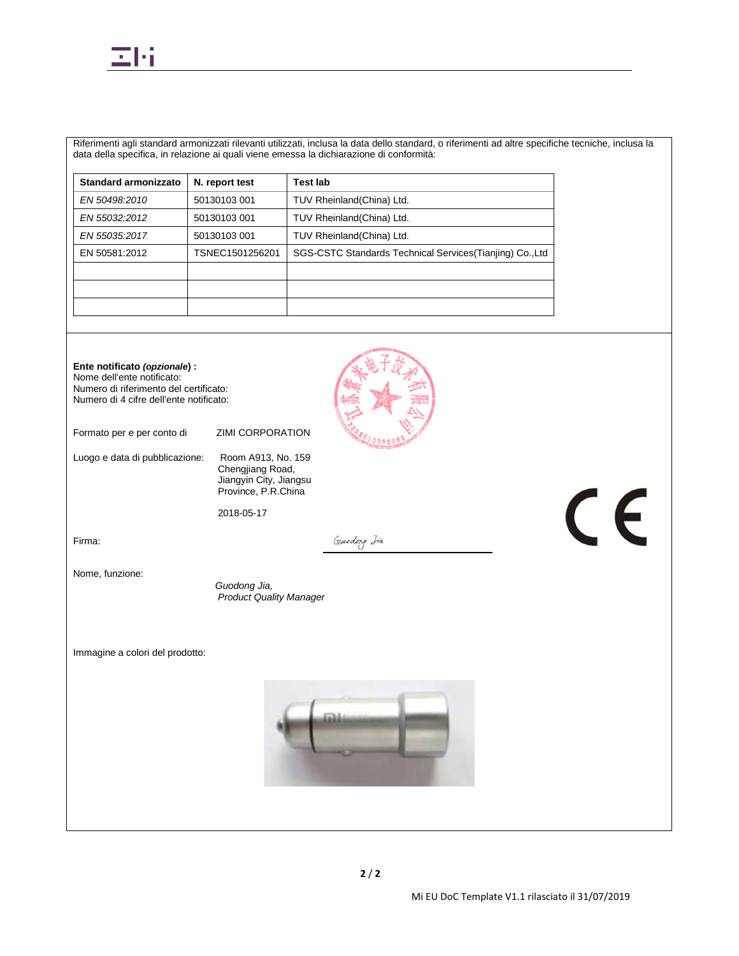

Riferimenti agli standard armonizzati rilevanti utilizzati, inclusa la data dello standard, o riferimenti ad altre specifiche tecniche, inclusa la data della specifica, in relazione ai quali viene emessa la dichiarazione di conformità:

| <b>Standard armonizzato</b> | N. report test  | <b>Test lab</b>                                           |
|-----------------------------|-----------------|-----------------------------------------------------------|
| EN 50498:2010               | 50130103 001    | TUV Rheinland (China) Ltd.                                |
| EN 55032:2012               | 50130103 001    | TUV Rheinland(China) Ltd.                                 |
| EN 55035:2017               | 50130103 001    | TUV Rheinland (China) Ltd.                                |
| EN 50581:2012               | TSNEC1501256201 | SGS-CSTC Standards Technical Services (Tianjing) Co., Ltd |
|                             |                 |                                                           |
|                             |                 |                                                           |
|                             |                 |                                                           |

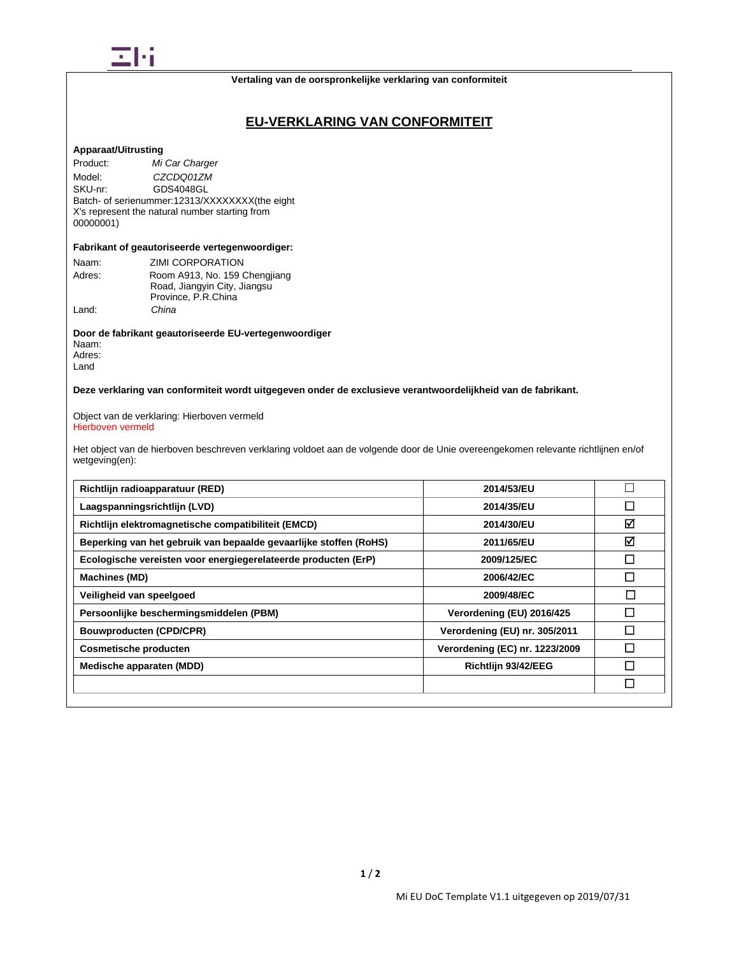

## **EU-VERKLARING VAN CONFORMITEIT**

## **Apparaat/Uitrusting**

Product: *Mi Car Charger* Model: *CZCDQ01ZM*<br>SKU-nr: GDS4048GL GDS4048GL Batch- of serienummer:12313/XXXXXXXX(the eight X's represent the natural number starting from 00000001)

#### **Fabrikant of geautoriseerde vertegenwoordiger:**

| Naam:  | ZIMI CORPORATION              |
|--------|-------------------------------|
| Adres: | Room A913, No. 159 Chengjiang |
|        | Road, Jiangyin City, Jiangsu  |
|        | Province, P.R.China           |
| Land:  | China                         |

**Door de fabrikant geautoriseerde EU-vertegenwoordiger** Naam: Adres: Land

**Deze verklaring van conformiteit wordt uitgegeven onder de exclusieve verantwoordelijkheid van de fabrikant.**

Object van de verklaring: Hierboven vermeld Hierboven vermeld

Het object van de hierboven beschreven verklaring voldoet aan de volgende door de Unie overeengekomen relevante richtlijnen en/of wetgeving(en):

| Richtlijn radioapparatuur (RED)                                   | 2014/53/EU                     |        |
|-------------------------------------------------------------------|--------------------------------|--------|
| Laagspanningsrichtlijn (LVD)                                      | 2014/35/EU                     | □      |
| Richtlijn elektromagnetische compatibiliteit (EMCD)               | 2014/30/EU                     | ☑      |
| Beperking van het gebruik van bepaalde gevaarlijke stoffen (RoHS) | 2011/65/EU                     | ☑      |
| Ecologische vereisten voor energiegerelateerde producten (ErP)    | 2009/125/EC                    | П      |
| <b>Machines (MD)</b>                                              | 2006/42/EC                     | $\Box$ |
| Veiligheid van speelgoed                                          | 2009/48/EC                     | $\Box$ |
| Persoonlijke beschermingsmiddelen (PBM)                           | Verordening (EU) 2016/425      | П      |
| <b>Bouwproducten (CPD/CPR)</b>                                    | Verordening (EU) nr. 305/2011  |        |
| <b>Cosmetische producten</b>                                      | Verordening (EC) nr. 1223/2009 |        |
| Medische apparaten (MDD)                                          | Richtlijn 93/42/EEG            |        |
|                                                                   |                                | □      |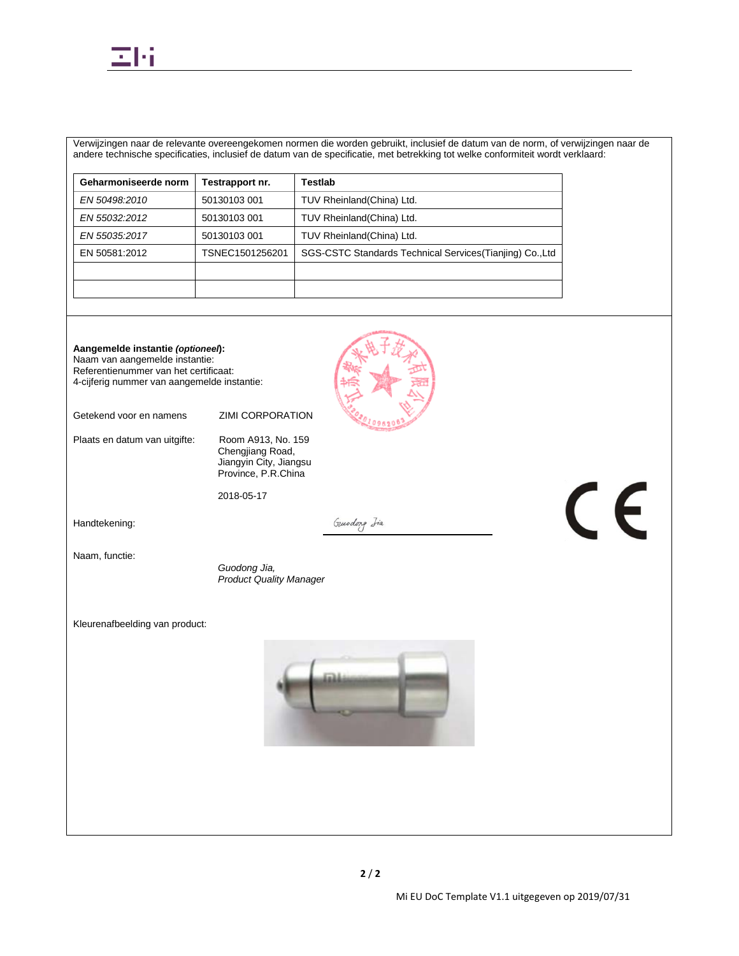

Verwijzingen naar de relevante overeengekomen normen die worden gebruikt, inclusief de datum van de norm, of verwijzingen naar de andere technische specificaties, inclusief de datum van de specificatie, met betrekking tot welke conformiteit wordt verklaard:

| Geharmoniseerde norm | <b>Festrapport nr.</b> | Testlab                                                   |
|----------------------|------------------------|-----------------------------------------------------------|
| EN 50498.2010        | 50130103 001           | TUV Rheinland (China) Ltd.                                |
| EN 55032:2012        | 50130103 001           | TUV Rheinland (China) Ltd.                                |
| EN 55035:2017        | 50130103 001           | TUV Rheinland (China) Ltd.                                |
| EN 50581:2012        | TSNEC1501256201        | SGS-CSTC Standards Technical Services (Tianjing) Co., Ltd |
|                      |                        |                                                           |
|                      |                        |                                                           |

**Aangemelde instantie** *(optioneel***):** Naam van aangemelde instantie: Referentienummer van het certificaat: 4-cijferig nummer van aangemelde instantie:

Getekend voor en namens ZIMI CORPORATION

Plaats en datum van uitgifte: Room A913, No. 159

Chengjiang Road, Jiangyin City, Jiangsu Province, P.R.China

2018-05-17

Handtekening:

Guodong Iia

Naam, functie:

 *Guodong Jia, Product Quality Manager*

Kleurenafbeelding van product:



CE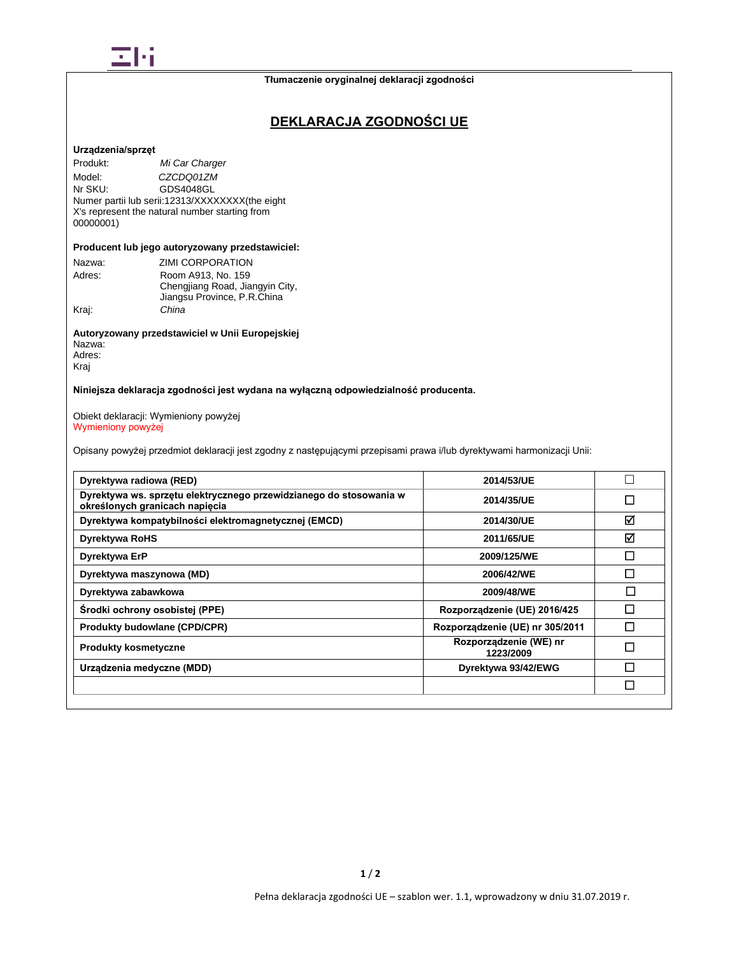

# **DEKLARACJA ZGODNOŚCI UE**

### **Urządzenia/sprzęt**

Produkt: *Mi Car Charger* Model: *CZCDQ01ZM*<br>Nr SKU: GDS4048GL GDS4048GL Numer partii lub serii:12313/XXXXXXXX(the eight X's represent the natural number starting from 00000001)

## **Producent lub jego autoryzowany przedstawiciel:**

|        | ZIMI CORPORATION                                               |
|--------|----------------------------------------------------------------|
| Nazwa: |                                                                |
| Adres: | Room A913, No. 159                                             |
|        | Chengjiang Road, Jiangyin City,<br>Jiangsu Province, P.R.China |
| Krai:  | China                                                          |

## **Autoryzowany przedstawiciel w Unii Europejskiej** Nazwa: Adres:

Kraj

## **Niniejsza deklaracja zgodności jest wydana na wyłączną odpowiedzialność producenta.**

#### Obiekt deklaracji: Wymieniony powyżej Wymieniony powyżej

Opisany powyżej przedmiot deklaracji jest zgodny z następującymi przepisami prawa i/lub dyrektywami harmonizacji Unii:

| Dyrektywa radiowa (RED)                                                                              | 2014/53/UE                          | $\mathbf{L}$ |
|------------------------------------------------------------------------------------------------------|-------------------------------------|--------------|
| Dyrektywa ws. sprzętu elektrycznego przewidzianego do stosowania w<br>określonych granicach napięcia | 2014/35/UE                          | П            |
| Dyrektywa kompatybilności elektromagnetycznej (EMCD)                                                 | 2014/30/UE                          | ⊠            |
| <b>Dyrektywa RoHS</b>                                                                                | 2011/65/UE                          | ☑            |
| Dyrektywa ErP                                                                                        | 2009/125/WE                         | П            |
| Dyrektywa maszynowa (MD)                                                                             | 2006/42/WE                          | П            |
| Dyrektywa zabawkowa                                                                                  | 2009/48/WE                          | П            |
| Środki ochrony osobistej (PPE)                                                                       | Rozporządzenie (UE) 2016/425        |              |
| <b>Produkty budowlane (CPD/CPR)</b>                                                                  | Rozporządzenie (UE) nr 305/2011     | П            |
| <b>Produkty kosmetyczne</b>                                                                          | Rozporządzenie (WE) nr<br>1223/2009 | П            |
| Urządzenia medyczne (MDD)                                                                            | Dyrektywa 93/42/EWG                 | П            |
|                                                                                                      |                                     | П            |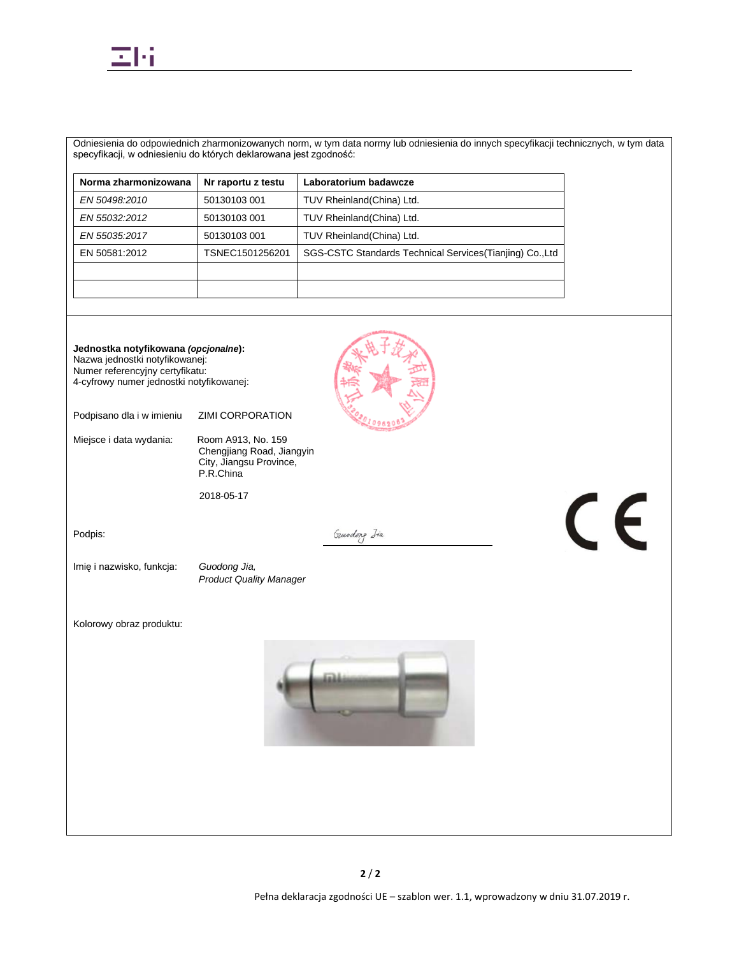

Odniesienia do odpowiednich zharmonizowanych norm, w tym data normy lub odniesienia do innych specyfikacji technicznych, w tym data specyfikacji, w odniesieniu do których deklarowana jest zgodność:

| Norma zharmonizowana | Nr raportu z testu | Laboratorium badawcze                                     |
|----------------------|--------------------|-----------------------------------------------------------|
| EN 50498:2010        | 50130103 001       | TUV Rheinland(China) Ltd.                                 |
| EN 55032:2012        | 50130103 001       | TUV Rheinland(China) Ltd.                                 |
| EN 55035:2017        | 50130103 001       | TUV Rheinland (China) Ltd.                                |
| EN 50581:2012        | TSNEC1501256201    | SGS-CSTC Standards Technical Services (Tianjing) Co., Ltd |
|                      |                    |                                                           |
|                      |                    |                                                           |

**Jednostka notyfikowana** *(opcjonalne***):** Nazwa jednostki notyfikowanej: Numer referencyjny certyfikatu: 4-cyfrowy numer jednostki notyfikowanej: Podpisano dla i w imieniu ZIMI CORPORATION Miejsce i data wydania: Room A913, No. 159 Chengjiang Road, Jiangyin City, Jiangsu Province, P.R.China 2018-05-17 CE Gundong Iia Podpis: Imię i nazwisko, funkcja: *Guodong Jia, Product Quality Manager* Kolorowy obraz produktu: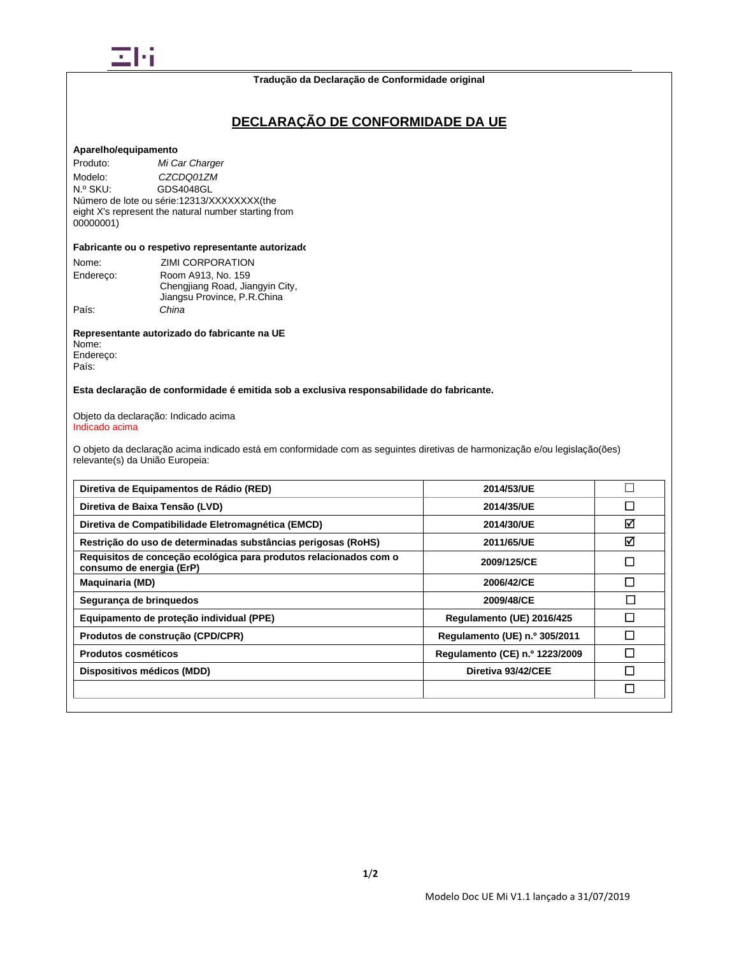

#### **Tradução da Declaração de Conformidade original**

# **DECLARAÇÃO DE CONFORMIDADE DA UE**

#### **Aparelho/equipamento**

Produto: *Mi Car Charger* Modelo: *CZCDQ01ZM*<br>
N.º SKU: GDS4048GL GDS4048GL Número de lote ou série:12313/XXXXXXXX(the eight X's represent the natural number starting from 00000001)

### **Fabricante ou o respetivo representante autorizado**

| Nome:     | ZIMI CORPORATION                |
|-----------|---------------------------------|
| Endereco: | Room A913, No. 159              |
|           | Chengjiang Road, Jiangyin City, |
|           | Jiangsu Province, P.R.China     |
| País:     | China                           |

**Representante autorizado do fabricante na UE** Nome: Endereço: País:

## **Esta declaração de conformidade é emitida sob a exclusiva responsabilidade do fabricante.**

#### Objeto da declaração: Indicado acima Indicado acima

O objeto da declaração acima indicado está em conformidade com as seguintes diretivas de harmonização e/ou legislação(ões) relevante(s) da União Europeia:

| Diretiva de Equipamentos de Rádio (RED)                                                       | 2014/53/UE                     |        |
|-----------------------------------------------------------------------------------------------|--------------------------------|--------|
| Diretiva de Baixa Tensão (LVD)                                                                | 2014/35/UE                     | $\Box$ |
| Diretiva de Compatibilidade Eletromagnética (EMCD)                                            | 2014/30/UE                     | ☑      |
| Restrição do uso de determinadas substâncias perigosas (RoHS)                                 | 2011/65/UE                     | ☑      |
| Requisitos de conceção ecológica para produtos relacionados com o<br>consumo de energia (ErP) | 2009/125/CE                    | $\Box$ |
| <b>Maquinaria (MD)</b>                                                                        | 2006/42/CE                     | П      |
| Segurança de brinquedos                                                                       | 2009/48/CE                     | П      |
| Equipamento de proteção individual (PPE)                                                      | Regulamento (UE) 2016/425      | П      |
| Produtos de construção (CPD/CPR)                                                              | Regulamento (UE) n.º 305/2011  | П      |
| Produtos cosméticos                                                                           | Regulamento (CE) n.º 1223/2009 |        |
| Dispositivos médicos (MDD)                                                                    | Diretiva 93/42/CEE             | П      |
|                                                                                               |                                | $\Box$ |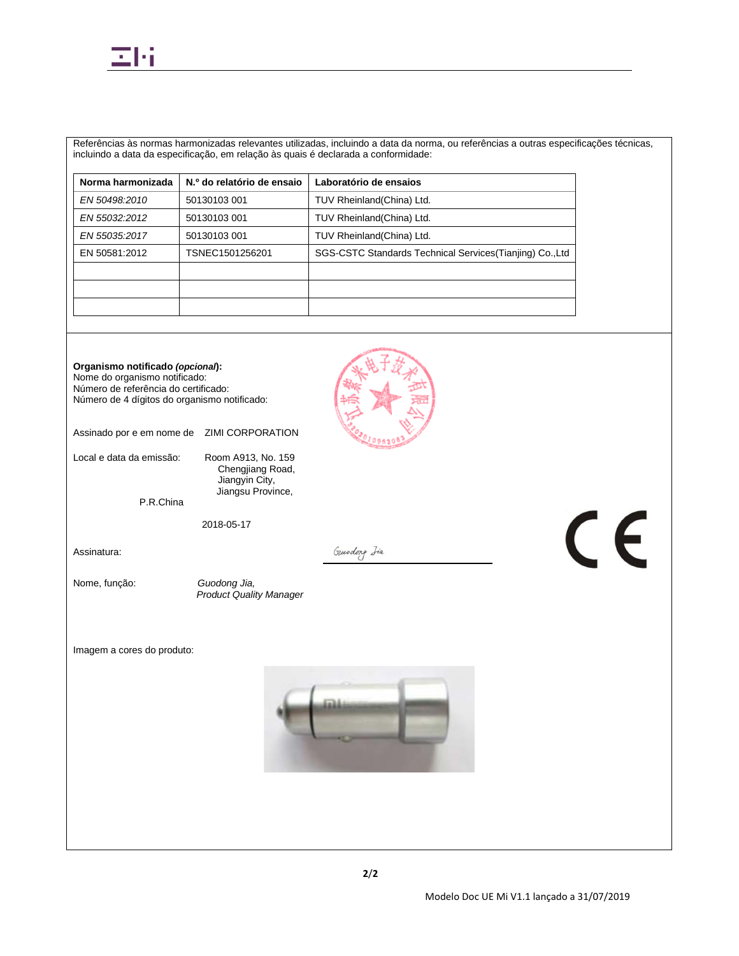

Referências às normas harmonizadas relevantes utilizadas, incluindo a data da norma, ou referências a outras especificações técnicas, incluindo a data da especificação, em relação às quais é declarada a conformidade:

| N.º do relatório de ensaio | Laboratório de ensaios                                    |
|----------------------------|-----------------------------------------------------------|
| 50130103 001               | TUV Rheinland(China) Ltd.                                 |
| 50130103 001               | TUV Rheinland(China) Ltd.                                 |
| 50130103 001               | TUV Rheinland(China) Ltd.                                 |
| TSNEC1501256201            | SGS-CSTC Standards Technical Services (Tianjing) Co., Ltd |
|                            |                                                           |
|                            |                                                           |
|                            |                                                           |
|                            |                                                           |

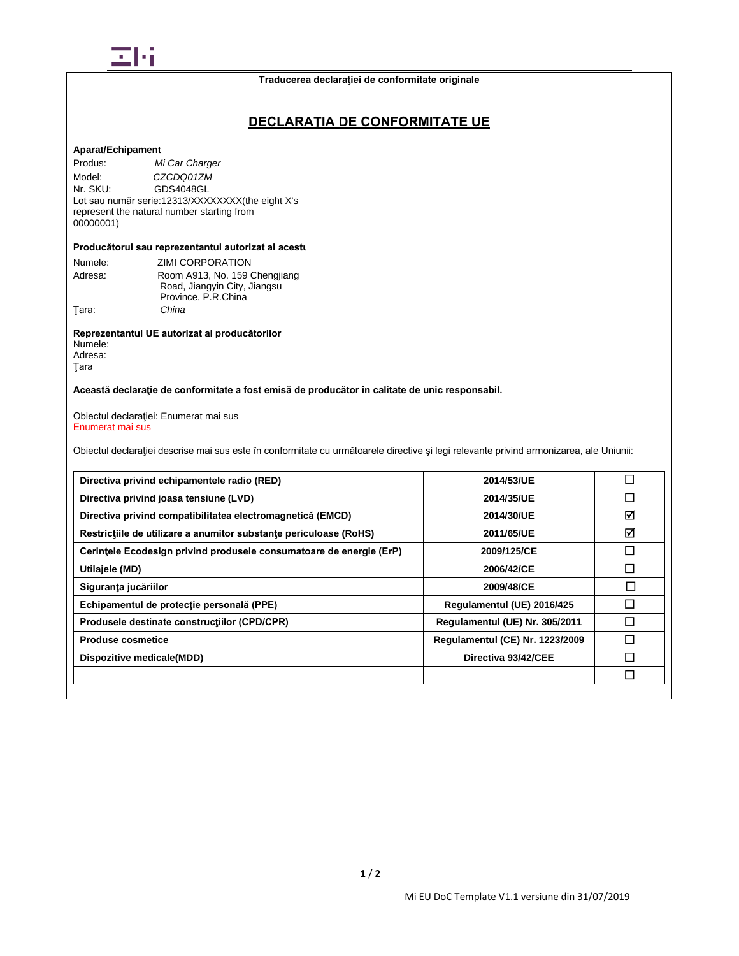

## **DECLARAŢIA DE CONFORMITATE UE**

### **Aparat/Echipament**

Produs: *Mi Car Charger* Model: *CZCDQ01ZM*<br>Nr. SKU: GDS4048GL GDS4048GL Lot sau număr serie:12313/XXXXXXXX(the eight X's represent the natural number starting from 00000001)

### **Producătorul sau reprezentantul autorizat al acestu**

| Numele: | ZIMI CORPORATION              |
|---------|-------------------------------|
| Adresa: | Room A913, No. 159 Chengjiang |
|         | Road, Jiangyin City, Jiangsu  |
|         | Province, P.R.China           |
| Tara:   | China                         |

**Reprezentantul UE autorizat al producătorilor** Numele: Adresa:

Ţara

## **Această declaraţie de conformitate a fost emisă de producător în calitate de unic responsabil.**

Obiectul declaraţiei: Enumerat mai sus Enumerat mai sus

Obiectul declaraţiei descrise mai sus este în conformitate cu următoarele directive şi legi relevante privind armonizarea, ale Uniunii:

| Directiva privind echipamentele radio (RED)                         | 2014/53/UE                      |   |
|---------------------------------------------------------------------|---------------------------------|---|
| Directiva privind joasa tensiune (LVD)                              | 2014/35/UE                      | П |
| Directiva privind compatibilitatea electromagnetică (EMCD)          | 2014/30/UE                      | ☑ |
| Restrictiile de utilizare a anumitor substante periculoase (RoHS)   | 2011/65/UE                      | ☑ |
| Cerintele Ecodesign privind produsele consumatoare de energie (ErP) | 2009/125/CE                     | □ |
| Utilajele (MD)                                                      | 2006/42/CE                      | П |
| Siguranța jucăriilor                                                | 2009/48/CE                      | П |
| Echipamentul de protecție personală (PPE)                           | Regulamentul (UE) 2016/425      | П |
| Produsele destinate constructiilor (CPD/CPR)                        | Regulamentul (UE) Nr. 305/2011  | П |
| <b>Produse cosmetice</b>                                            | Regulamentul (CE) Nr. 1223/2009 | П |
| Dispozitive medicale(MDD)                                           | Directiva 93/42/CEE             | П |
|                                                                     |                                 | П |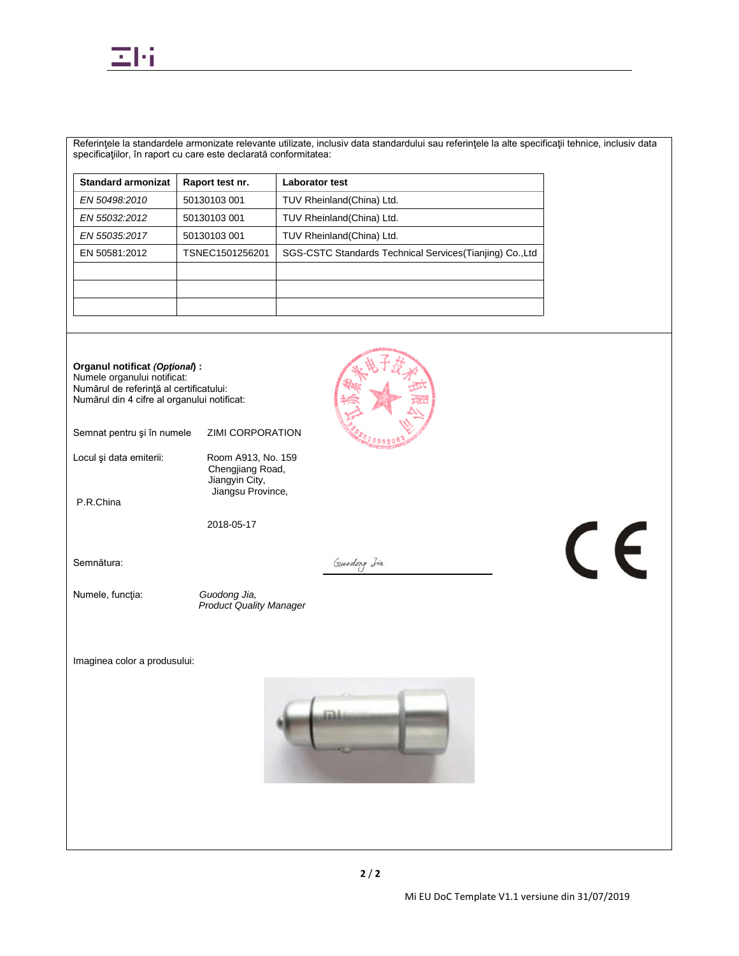

Referinţele la standardele armonizate relevante utilizate, inclusiv data standardului sau referinţele la alte specificaţii tehnice, inclusiv data specificaţiilor, în raport cu care este declarată conformitatea:

| <b>Standard armonizat</b> | Raport test nr. | <b>Laborator test</b>                                     |
|---------------------------|-----------------|-----------------------------------------------------------|
| EN 50498.2010             | 50130103 001    | TUV Rheinland(China) Ltd.                                 |
| EN 55032:2012             | 50130103 001    | TUV Rheinland(China) Ltd.                                 |
| EN 55035:2017             | 50130103 001    | TUV Rheinland(China) Ltd.                                 |
| EN 50581:2012             | TSNEC1501256201 | SGS-CSTC Standards Technical Services (Tianjing) Co., Ltd |
|                           |                 |                                                           |
|                           |                 |                                                           |
|                           |                 |                                                           |

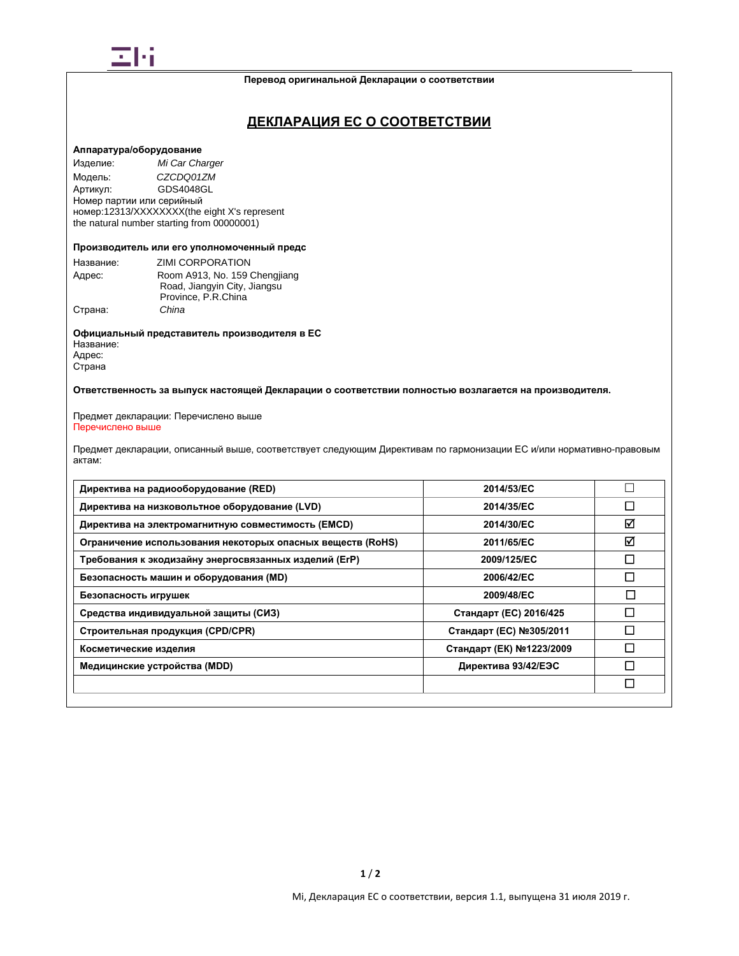

#### **Перевод оригинальной Декларации о соответствии**

## **ДЕКЛАРАЦИЯ ЕС О СООТВЕТСТВИИ**

### **Аппаратура/оборудование**

Изделие: *Mi Car Charger* Модель: *CZCDQ01ZM* GDS4048GL Номер партии или серийный номер:12313/XXXXXXXX(the eight X's represent the natural number starting from 00000001)

### **Производитель или его уполномоченный предс**

| Название: | ZIMI CORPORATION              |
|-----------|-------------------------------|
| Адрес:    | Room A913, No. 159 Chengjiang |
|           | Road, Jiangyin City, Jiangsu  |
|           | Province, P.R.China           |
| Страна:   | China                         |

**Официальный представитель производителя в ЕС** Название: Адрес: Страна

### **Ответственность за выпуск настоящей Декларации о соответствии полностью возлагается на производителя.**

#### Предмет декларации: Перечислено выше Перечислено выше

Предмет декларации, описанный выше, соответствует следующим Директивам по гармонизации ЕС и/или нормативно-правовым актам:

| Директива на радиооборудование (RED)                       | 2014/53/EC               |                          |
|------------------------------------------------------------|--------------------------|--------------------------|
| Директива на низковольтное оборудование (LVD)              | 2014/35/EC               | □                        |
| Директива на электромагнитную совместимость (EMCD)         | 2014/30/EC               | ☑                        |
| Ограничение использования некоторых опасных веществ (RoHS) | 2011/65/EC               | ☑                        |
| Требования к экодизайну энергосвязанных изделий (ErP)      | 2009/125/EC              | П                        |
| Безопасность машин и оборудования (MD)                     | 2006/42/EC               | $\overline{\phantom{a}}$ |
| Безопасность игрушек                                       | 2009/48/EC               | I                        |
| Средства индивидуальной защиты (СИЗ)                       | Стандарт (ЕС) 2016/425   | П                        |
| Строительная продукция (CPD/CPR)                           | Стандарт (ЕС) №305/2011  | $\overline{\phantom{a}}$ |
| Косметические изделия                                      | Стандарт (ЕК) №1223/2009 |                          |
| Медицинские устройства (MDD)                               | Директива 93/42/ЕЭС      |                          |
|                                                            |                          | □                        |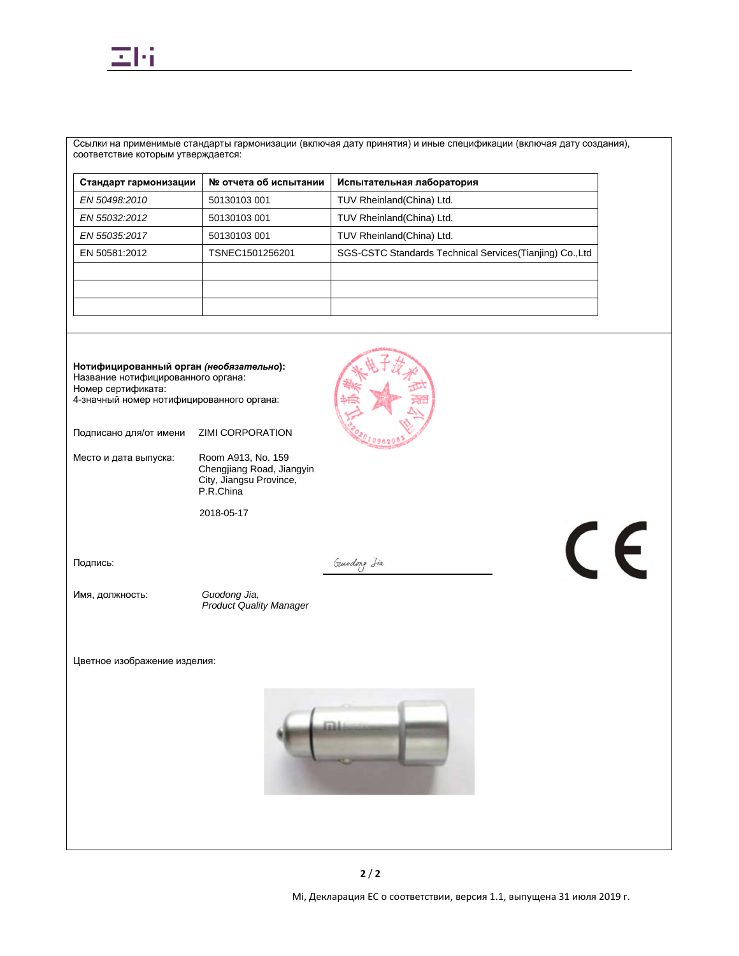

Ссылки на применимые стандарты гармонизации (включая дату принятия) и иные спецификации (включая дату создания), соответствие которым утверждается:

| № отчета об испытании | Испытательная лаборатория                                 |
|-----------------------|-----------------------------------------------------------|
| 50130103 001          | TUV Rheinland(China) Ltd.                                 |
| 50130103 001          | TUV Rheinland(China) Ltd.                                 |
| 50130103 001          | TUV Rheinland(China) Ltd.                                 |
| TSNEC1501256201       | SGS-CSTC Standards Technical Services (Tianjing) Co., Ltd |
|                       |                                                           |
|                       |                                                           |
|                       |                                                           |
|                       |                                                           |

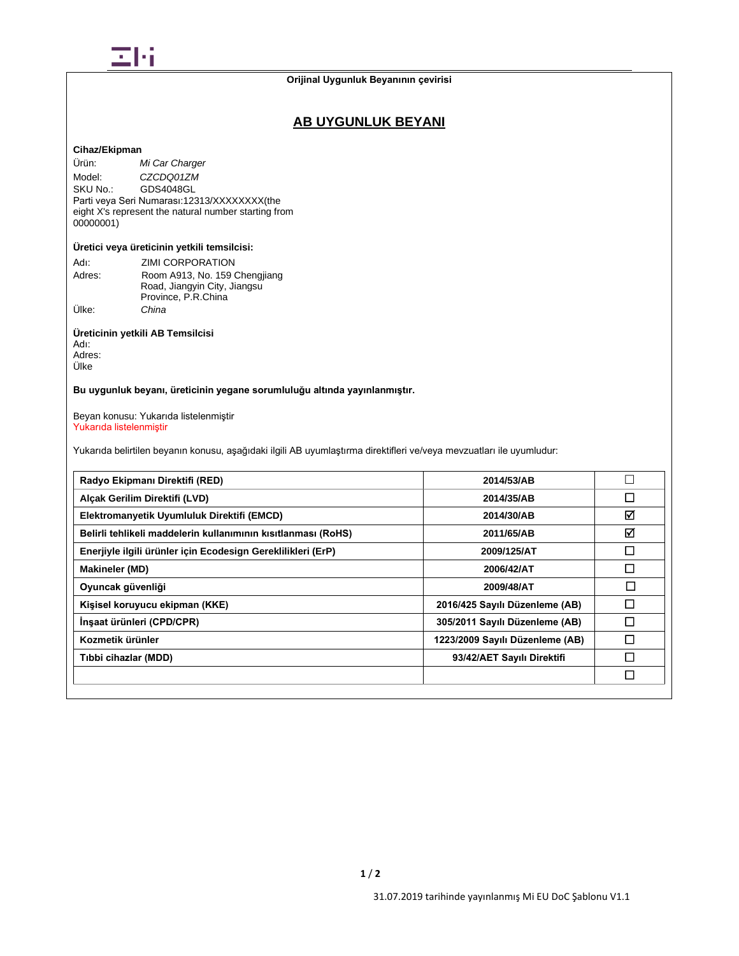

## **Orijinal Uygunluk Beyanının çevirisi**

## **AB UYGUNLUK BEYANI**

## **Cihaz/Ekipman**

Ürün: *Mi Car Charger* Model: *CZCDQ01ZM*<br>SKU No.: GDS4048GL GDS4048GL Parti veya Seri Numarası:12313/XXXXXXXX(the eight X's represent the natural number starting from 00000001)

## **Üretici veya üreticinin yetkili temsilcisi:**

| Adı:   | ZIMI CORPORATION              |
|--------|-------------------------------|
| Adres: | Room A913, No. 159 Chengjiang |
|        | Road, Jiangyin City, Jiangsu  |
|        | Province, P.R.China           |
| Ülke:  | China                         |

## **Üreticinin yetkili AB Temsilcisi**

Adı: Adres: Ülke

## **Bu uygunluk beyanı, üreticinin yegane sorumluluğu altında yayınlanmıştır.**

Beyan konusu: Yukarıda listelenmiştir Yukarıda listelenmiştir

Yukarıda belirtilen beyanın konusu, aşağıdaki ilgili AB uyumlaştırma direktifleri ve/veya mevzuatları ile uyumludur:

| Radyo Ekipmanı Direktifi (RED)                                | 2014/53/AB                      | $\mathbf{L}$ |
|---------------------------------------------------------------|---------------------------------|--------------|
| Alcak Gerilim Direktifi (LVD)                                 | 2014/35/AB                      | □            |
| Elektromanyetik Uyumluluk Direktifi (EMCD)                    | 2014/30/AB                      | ☑            |
| Belirli tehlikeli maddelerin kullanımının kısıtlanması (RoHS) | 2011/65/AB                      | ☑            |
| Enerjiyle ilgili ürünler için Ecodesign Gereklilikleri (ErP)  | 2009/125/AT                     | □            |
| <b>Makineler (MD)</b>                                         | 2006/42/AT                      | П            |
| Oyuncak güvenliği                                             | 2009/48/AT                      | $\Box$       |
| Kişisel koruyucu ekipman (KKE)                                | 2016/425 Sayılı Düzenleme (AB)  | П            |
| İnşaat ürünleri (CPD/CPR)                                     | 305/2011 Sayılı Düzenleme (AB)  | П            |
| Kozmetik ürünler                                              | 1223/2009 Sayılı Düzenleme (AB) | П            |
| Tıbbi cihazlar (MDD)                                          | 93/42/AET Sayılı Direktifi      | П            |
|                                                               |                                 | □            |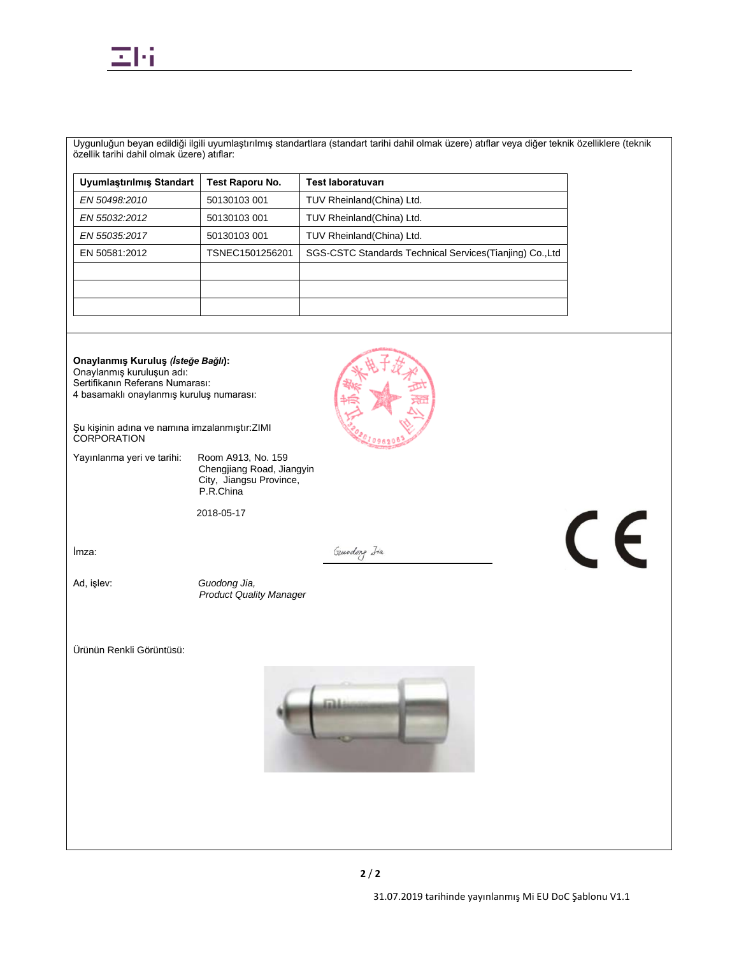

Uygunluğun beyan edildiği ilgili uyumlaştırılmış standartlara (standart tarihi dahil olmak üzere) atıflar veya diğer teknik özelliklere (teknik özellik tarihi dahil olmak üzere) atıflar:

| Test Raporu No. | <b>Test laboratuvari</b>                                  |
|-----------------|-----------------------------------------------------------|
| 50130103 001    | TUV Rheinland(China) Ltd.                                 |
| 50130103 001    | TUV Rheinland(China) Ltd.                                 |
| 50130103 001    | TUV Rheinland(China) Ltd.                                 |
| TSNEC1501256201 | SGS-CSTC Standards Technical Services (Tianjing) Co., Ltd |
|                 |                                                           |
|                 |                                                           |
|                 |                                                           |
|                 |                                                           |

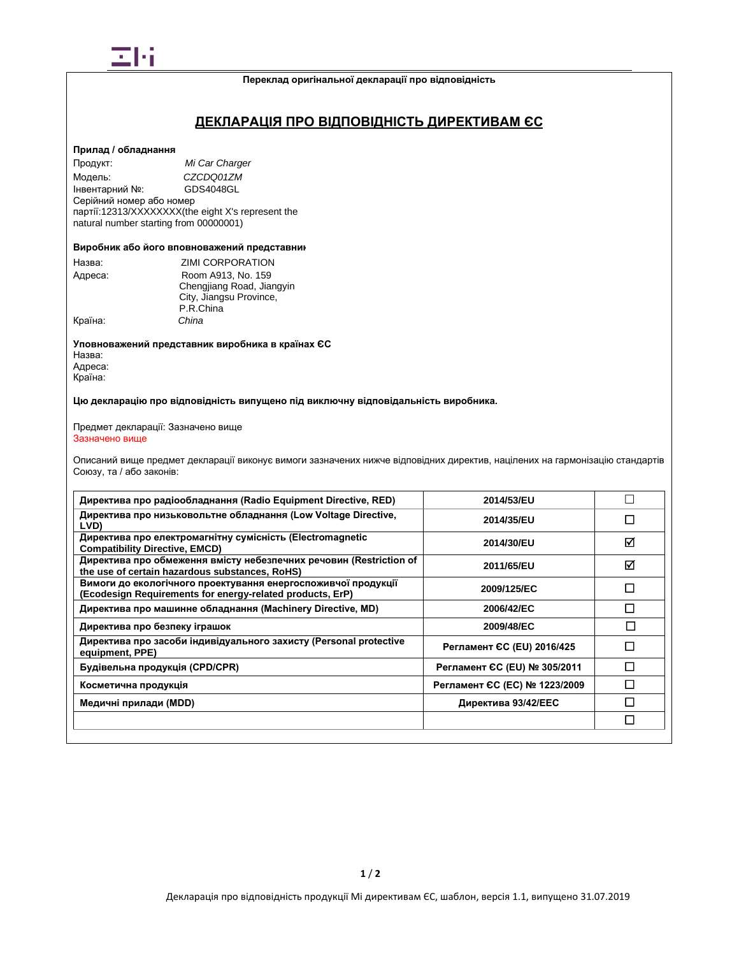

#### **Переклад оригінальної декларації про відповідність**

## **ДЕКЛАРАЦІЯ ПРО ВІДПОВІДНІСТЬ ДИРЕКТИВАМ ЄС**

### **Прилад / обладнання**

Продукт: *Mi Car Charger* Модель: *CZCDQ01ZM* Інвентарний №: Серійний номер або номер партії:12313/XXXXXXXX(the eight X's represent the natural number starting from 00000001)

#### **Виробник або його вповноважений представник**

| Назва:  | ZIMI CORPORATION          |  |
|---------|---------------------------|--|
| Адреса: | Room A913, No. 159        |  |
|         | Chengjiang Road, Jiangyin |  |
|         | City, Jiangsu Province,   |  |
|         | P.R.China                 |  |
| Країна: | China                     |  |

**Уповноважений представник виробника в країнах ЄС** Назва: Адреса: Країна:

**Цю декларацію про відповідність випущено під виключну відповідальність виробника.**

#### Предмет декларації: Зазначено вище Зазначено вище

Описаний вище предмет декларації виконує вимоги зазначених нижче відповідних директив, націлених на гармонізацію стандартів Союзу, та / або законів:

| Директива про радіообладнання (Radio Equipment Directive, RED)                                                             | 2014/53/EU                    |   |
|----------------------------------------------------------------------------------------------------------------------------|-------------------------------|---|
| Директива про низьковольтне обладнання (Low Voltage Directive,<br>LVD)                                                     | 2014/35/EU                    |   |
| Директива про електромагнітну сумісність (Electromagnetic<br><b>Compatibility Directive, EMCD)</b>                         | 2014/30/EU                    | ⊠ |
| Директива про обмеження вмісту небезпечних речовин (Restriction of<br>the use of certain hazardous substances, RoHS)       | 2011/65/EU                    | ☑ |
| Вимоги до екологічного проектування енергоспоживчої продукції<br>(Ecodesign Requirements for energy-related products, ErP) | 2009/125/EC                   | П |
| Директива про машинне обладнання (Machinery Directive, MD)                                                                 | 2006/42/EC                    | П |
| Директива про безпеку іграшок                                                                                              | 2009/48/EC                    |   |
| Директива про засоби індивідуального захисту (Personal protective<br>equipment, PPE)                                       | Регламент СС (EU) 2016/425    |   |
| Будівельна продукція (CPD/CPR)                                                                                             | Регламент ЄС (EU) № 305/2011  |   |
| Косметична продукція                                                                                                       | Регламент ЄС (ЕС) № 1223/2009 |   |
| Медичні прилади (MDD)                                                                                                      | Директива 93/42/ЕЕС           |   |
|                                                                                                                            |                               | П |